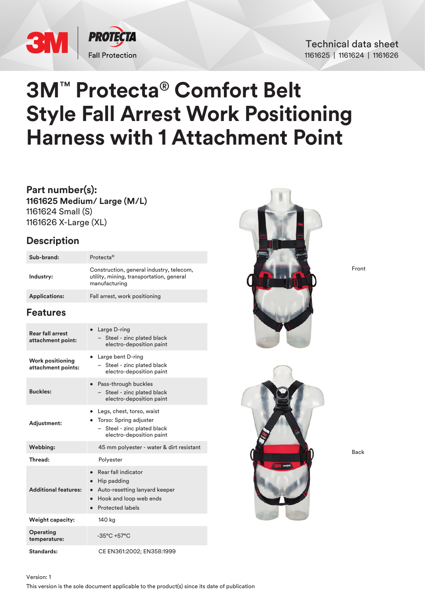

Technical data sheet 1161625 | 1161624 | 1161626

# **3M**™ **Protecta**® **Comfort Belt Style Fall Arrest Work Positioning Harness with 1 Attachment Point**

**Part number(s): 1161625 Medium/ Large (M/L)** 1161624 Small (S) 1161626 X-Large (XL)

# **Description**

| Sub-brand:           | Protecta <sup>®</sup>                                                                                 |
|----------------------|-------------------------------------------------------------------------------------------------------|
| Industry:            | Construction, general industry, telecom,<br>utility, mining, transportation, general<br>manufacturing |
| <b>Applications:</b> | Fall arrest, work positioning                                                                         |

# **Features**

| <b>Rear fall arrest</b><br>attachment point:  | Large D-ring<br>$\bullet$<br>Steel - zinc plated black<br>electro-deposition paint                                                                              |  |
|-----------------------------------------------|-----------------------------------------------------------------------------------------------------------------------------------------------------------------|--|
| <b>Work positioning</b><br>attachment points: | $\bullet$ Large bent D-ring<br>Steel - zinc plated black<br>electro-deposition paint                                                                            |  |
| <b>Buckles:</b>                               | Pass-through buckles<br>Steel - zinc plated black<br>electro-deposition paint                                                                                   |  |
| <b>Adjustment:</b>                            | Legs, chest, torso, waist<br>• Torso: Spring adjuster<br>- Steel - zinc plated black<br>electro-deposition paint                                                |  |
| Webbing:                                      | 45 mm polyester - water & dirt resistant                                                                                                                        |  |
| Thread:                                       | Polyester                                                                                                                                                       |  |
| <b>Additional features:</b>                   | Rear fall indicator<br>Hip padding<br>$\bullet$<br>Auto-resetting lanyard keeper<br>$\bullet$<br>Hook and loop web ends<br>$\bullet$<br><b>Protected labels</b> |  |
| <b>Weight capacity:</b>                       | 140 kg                                                                                                                                                          |  |
| Operating<br>temperature:                     | $-35^{\circ}$ C +57 $^{\circ}$ C                                                                                                                                |  |
| Standards:                                    | CE EN361:2002; EN358:1999                                                                                                                                       |  |



Front



Back

### Version: 1

This version is the sole document applicable to the product(s) since its date of publication